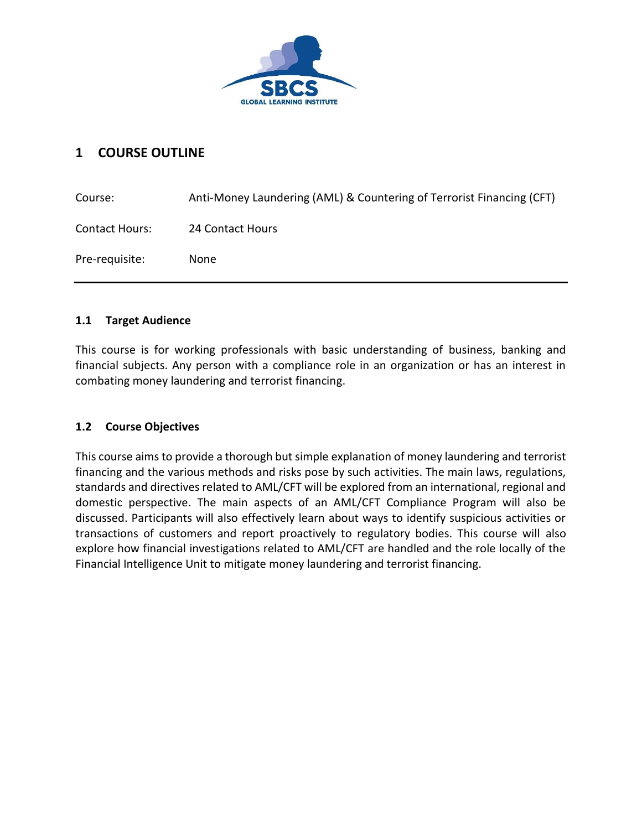

# **1 COURSE OUTLINE**

| Course:               | Anti-Money Laundering (AML) & Countering of Terrorist Financing (CFT) |
|-----------------------|-----------------------------------------------------------------------|
| <b>Contact Hours:</b> | 24 Contact Hours                                                      |
| Pre-requisite:        | <b>None</b>                                                           |

# **1.1 Target Audience**

This course is for working professionals with basic understanding of business, banking and financial subjects. Any person with a compliance role in an organization or has an interest in combating money laundering and terrorist financing.

# **1.2 Course Objectives**

This course aims to provide a thorough but simple explanation of money laundering and terrorist financing and the various methods and risks pose by such activities. The main laws, regulations, standards and directives related to AML/CFT will be explored from an international, regional and domestic perspective. The main aspects of an AML/CFT Compliance Program will also be discussed. Participants will also effectively learn about ways to identify suspicious activities or transactions of customers and report proactively to regulatory bodies. This course will also explore how financial investigations related to AML/CFT are handled and the role locally of the Financial Intelligence Unit to mitigate money laundering and terrorist financing.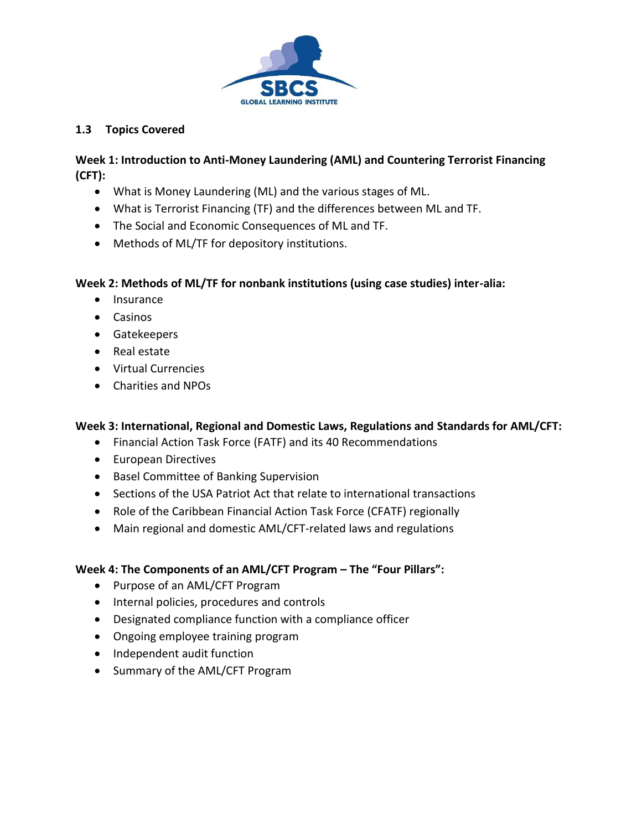

### **1.3 Topics Covered**

### **Week 1: Introduction to Anti-Money Laundering (AML) and Countering Terrorist Financing (CFT):**

- What is Money Laundering (ML) and the various stages of ML.
- What is Terrorist Financing (TF) and the differences between ML and TF.
- The Social and Economic Consequences of ML and TF.
- Methods of ML/TF for depository institutions.

# **Week 2: Methods of ML/TF for nonbank institutions (using case studies) inter-alia:**

- Insurance
- Casinos
- Gatekeepers
- Real estate
- Virtual Currencies
- Charities and NPOs

# **Week 3: International, Regional and Domestic Laws, Regulations and Standards for AML/CFT:**

- Financial Action Task Force (FATF) and its 40 Recommendations
- European Directives
- Basel Committee of Banking Supervision
- Sections of the USA Patriot Act that relate to international transactions
- Role of the Caribbean Financial Action Task Force (CFATF) regionally
- Main regional and domestic AML/CFT-related laws and regulations

#### **Week 4: The Components of an AML/CFT Program – The "Four Pillars":**

- Purpose of an AML/CFT Program
- Internal policies, procedures and controls
- Designated compliance function with a compliance officer
- Ongoing employee training program
- Independent audit function
- Summary of the AML/CFT Program